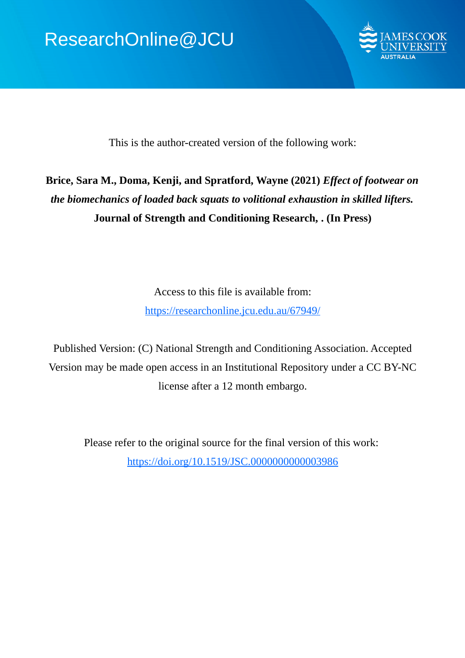

This is the author-created version of the following work:

# **Brice, Sara M., Doma, Kenji, and Spratford, Wayne (2021)** *Effect of footwear on the biomechanics of loaded back squats to volitional exhaustion in skilled lifters.* **Journal of Strength and Conditioning Research, . (In Press)**

Access to this file is available from: https://researchonline.jcu.edu.au/67949/

Published Version: (C) National Strength and Conditioning Association. Accepted Version may be made open access in an Institutional Repository under a CC BY-NC license after a 12 month embargo.

Please refer to the original source for the final version of this work: https://doi.org/10.1519/JSC.0000000000003986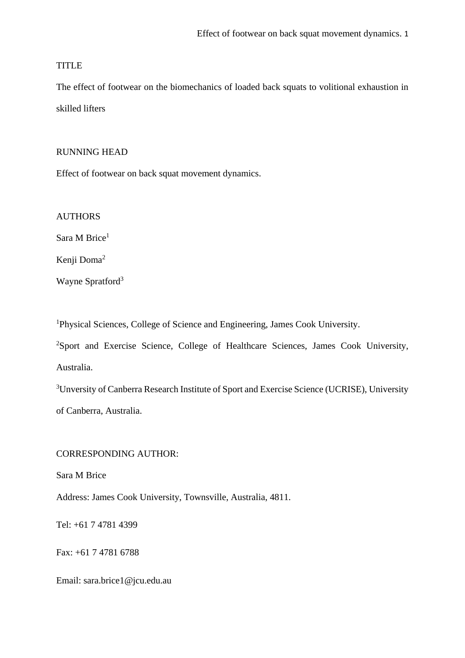# TITLE

The effect of footwear on the biomechanics of loaded back squats to volitional exhaustion in skilled lifters

# RUNNING HEAD

Effect of footwear on back squat movement dynamics.

AUTHORS

Sara M Brice<sup>1</sup>

Kenji Doma<sup>2</sup>

Wayne Spratford<sup>3</sup>

<sup>1</sup>Physical Sciences, College of Science and Engineering, James Cook University.

<sup>2</sup>Sport and Exercise Science, College of Healthcare Sciences, James Cook University, Australia.

<sup>3</sup>Unversity of Canberra Research Institute of Sport and Exercise Science (UCRISE), University of Canberra, Australia.

# CORRESPONDING AUTHOR:

Sara M Brice

Address: James Cook University, Townsville, Australia, 4811.

Tel: +61 7 4781 4399

Fax: +61 7 4781 6788

Email: sara.brice1@jcu.edu.au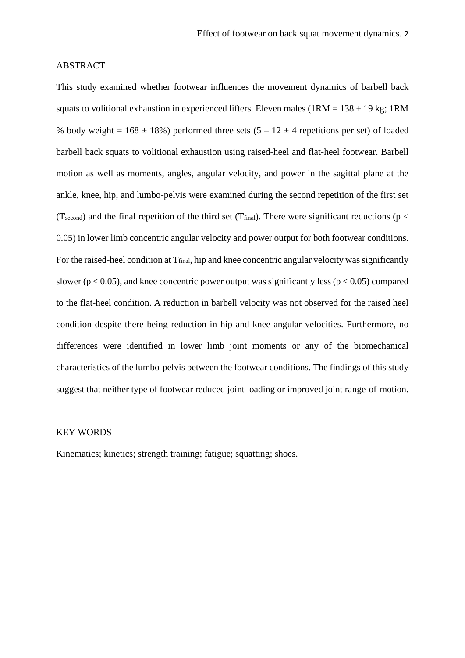## ABSTRACT

This study examined whether footwear influences the movement dynamics of barbell back squats to volitional exhaustion in experienced lifters. Eleven males (1RM =  $138 \pm 19$  kg; 1RM % body weight =  $168 \pm 18$ %) performed three sets  $(5 - 12 \pm 4$  repetitions per set) of loaded barbell back squats to volitional exhaustion using raised-heel and flat-heel footwear. Barbell motion as well as moments, angles, angular velocity, and power in the sagittal plane at the ankle, knee, hip, and lumbo-pelvis were examined during the second repetition of the first set (T<sub>second</sub>) and the final repetition of the third set (T<sub>final</sub>). There were significant reductions ( $p <$ 0.05) in lower limb concentric angular velocity and power output for both footwear conditions. For the raised-heel condition at  $T_{final}$ , hip and knee concentric angular velocity was significantly slower ( $p < 0.05$ ), and knee concentric power output was significantly less ( $p < 0.05$ ) compared to the flat-heel condition. A reduction in barbell velocity was not observed for the raised heel condition despite there being reduction in hip and knee angular velocities. Furthermore, no differences were identified in lower limb joint moments or any of the biomechanical characteristics of the lumbo-pelvis between the footwear conditions. The findings of this study suggest that neither type of footwear reduced joint loading or improved joint range-of-motion.

#### KEY WORDS

Kinematics; kinetics; strength training; fatigue; squatting; shoes.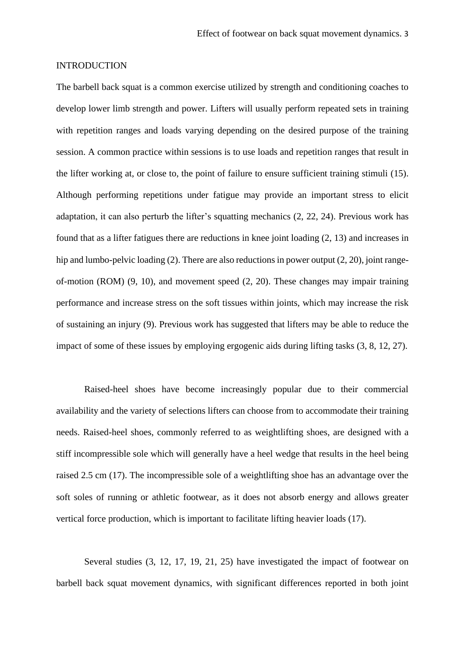## **INTRODUCTION**

The barbell back squat is a common exercise utilized by strength and conditioning coaches to develop lower limb strength and power. Lifters will usually perform repeated sets in training with repetition ranges and loads varying depending on the desired purpose of the training session. A common practice within sessions is to use loads and repetition ranges that result in the lifter working at, or close to, the point of failure to ensure sufficient training stimuli (15). Although performing repetitions under fatigue may provide an important stress to elicit adaptation, it can also perturb the lifter's squatting mechanics (2, 22, 24). Previous work has found that as a lifter fatigues there are reductions in knee joint loading (2, 13) and increases in hip and lumbo-pelvic loading (2). There are also reductions in power output (2, 20), joint rangeof-motion (ROM) (9, 10), and movement speed (2, 20). These changes may impair training performance and increase stress on the soft tissues within joints, which may increase the risk of sustaining an injury (9). Previous work has suggested that lifters may be able to reduce the impact of some of these issues by employing ergogenic aids during lifting tasks (3, 8, 12, 27).

Raised-heel shoes have become increasingly popular due to their commercial availability and the variety of selections lifters can choose from to accommodate their training needs. Raised-heel shoes, commonly referred to as weightlifting shoes, are designed with a stiff incompressible sole which will generally have a heel wedge that results in the heel being raised 2.5 cm (17). The incompressible sole of a weightlifting shoe has an advantage over the soft soles of running or athletic footwear, as it does not absorb energy and allows greater vertical force production, which is important to facilitate lifting heavier loads (17).

Several studies (3, 12, 17, 19, 21, 25) have investigated the impact of footwear on barbell back squat movement dynamics, with significant differences reported in both joint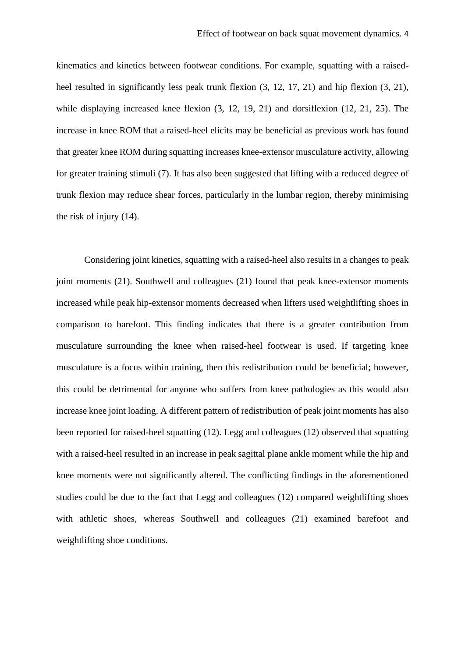kinematics and kinetics between footwear conditions. For example, squatting with a raisedheel resulted in significantly less peak trunk flexion  $(3, 12, 17, 21)$  and hip flexion  $(3, 21)$ , while displaying increased knee flexion (3, 12, 19, 21) and dorsiflexion (12, 21, 25). The increase in knee ROM that a raised-heel elicits may be beneficial as previous work has found that greater knee ROM during squatting increases knee-extensor musculature activity, allowing for greater training stimuli (7). It has also been suggested that lifting with a reduced degree of trunk flexion may reduce shear forces, particularly in the lumbar region, thereby minimising the risk of injury (14).

Considering joint kinetics, squatting with a raised-heel also results in a changes to peak joint moments (21). Southwell and colleagues (21) found that peak knee-extensor moments increased while peak hip-extensor moments decreased when lifters used weightlifting shoes in comparison to barefoot. This finding indicates that there is a greater contribution from musculature surrounding the knee when raised-heel footwear is used. If targeting knee musculature is a focus within training, then this redistribution could be beneficial; however, this could be detrimental for anyone who suffers from knee pathologies as this would also increase knee joint loading. A different pattern of redistribution of peak joint moments has also been reported for raised-heel squatting (12). Legg and colleagues (12) observed that squatting with a raised-heel resulted in an increase in peak sagittal plane ankle moment while the hip and knee moments were not significantly altered. The conflicting findings in the aforementioned studies could be due to the fact that Legg and colleagues (12) compared weightlifting shoes with athletic shoes, whereas Southwell and colleagues (21) examined barefoot and weightlifting shoe conditions.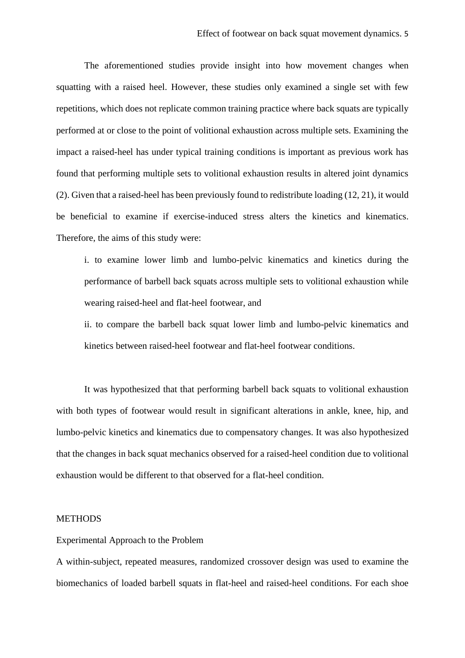The aforementioned studies provide insight into how movement changes when squatting with a raised heel. However, these studies only examined a single set with few repetitions, which does not replicate common training practice where back squats are typically performed at or close to the point of volitional exhaustion across multiple sets. Examining the impact a raised-heel has under typical training conditions is important as previous work has found that performing multiple sets to volitional exhaustion results in altered joint dynamics (2). Given that a raised-heel has been previously found to redistribute loading (12, 21), it would be beneficial to examine if exercise-induced stress alters the kinetics and kinematics. Therefore, the aims of this study were:

i. to examine lower limb and lumbo-pelvic kinematics and kinetics during the performance of barbell back squats across multiple sets to volitional exhaustion while wearing raised-heel and flat-heel footwear, and

ii. to compare the barbell back squat lower limb and lumbo-pelvic kinematics and kinetics between raised-heel footwear and flat-heel footwear conditions.

It was hypothesized that that performing barbell back squats to volitional exhaustion with both types of footwear would result in significant alterations in ankle, knee, hip, and lumbo-pelvic kinetics and kinematics due to compensatory changes. It was also hypothesized that the changes in back squat mechanics observed for a raised-heel condition due to volitional exhaustion would be different to that observed for a flat-heel condition.

## **METHODS**

Experimental Approach to the Problem

A within-subject, repeated measures, randomized crossover design was used to examine the biomechanics of loaded barbell squats in flat-heel and raised-heel conditions. For each shoe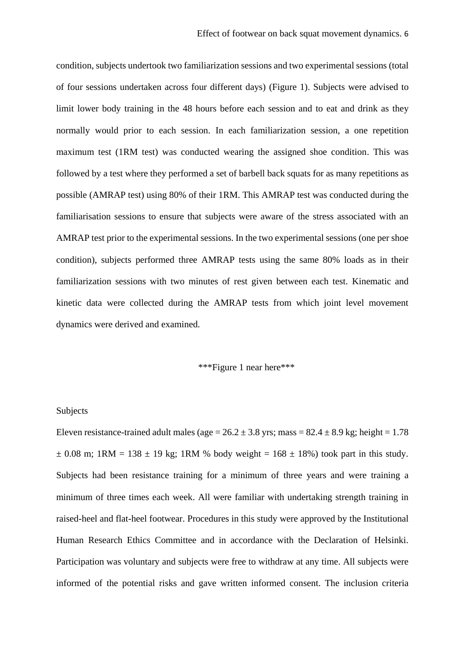condition, subjects undertook two familiarization sessions and two experimental sessions (total of four sessions undertaken across four different days) (Figure 1). Subjects were advised to limit lower body training in the 48 hours before each session and to eat and drink as they normally would prior to each session. In each familiarization session, a one repetition maximum test (1RM test) was conducted wearing the assigned shoe condition. This was followed by a test where they performed a set of barbell back squats for as many repetitions as possible (AMRAP test) using 80% of their 1RM. This AMRAP test was conducted during the familiarisation sessions to ensure that subjects were aware of the stress associated with an AMRAP test prior to the experimental sessions. In the two experimental sessions (one per shoe condition), subjects performed three AMRAP tests using the same 80% loads as in their familiarization sessions with two minutes of rest given between each test. Kinematic and kinetic data were collected during the AMRAP tests from which joint level movement dynamics were derived and examined.

### \*\*\*Figure 1 near here\*\*\*

#### Subjects

Eleven resistance-trained adult males (age =  $26.2 \pm 3.8$  yrs; mass =  $82.4 \pm 8.9$  kg; height = 1.78  $\pm$  0.08 m; 1RM = 138  $\pm$  19 kg; 1RM % body weight = 168  $\pm$  18%) took part in this study. Subjects had been resistance training for a minimum of three years and were training a minimum of three times each week. All were familiar with undertaking strength training in raised-heel and flat-heel footwear. Procedures in this study were approved by the Institutional Human Research Ethics Committee and in accordance with the Declaration of Helsinki. Participation was voluntary and subjects were free to withdraw at any time. All subjects were informed of the potential risks and gave written informed consent. The inclusion criteria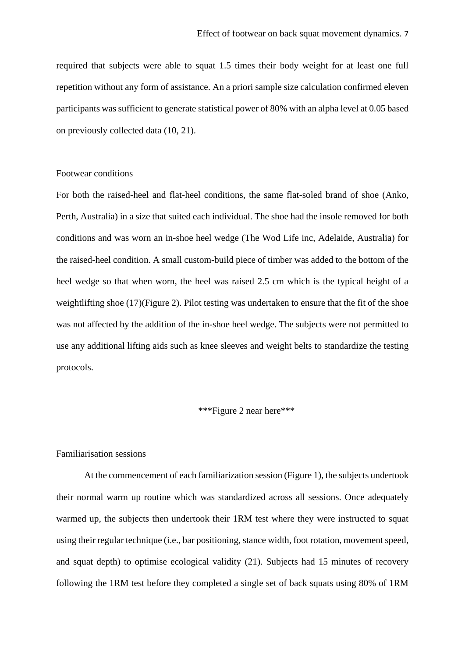required that subjects were able to squat 1.5 times their body weight for at least one full repetition without any form of assistance. An a priori sample size calculation confirmed eleven participants was sufficient to generate statistical power of 80% with an alpha level at 0.05 based on previously collected data (10, 21).

#### Footwear conditions

For both the raised-heel and flat-heel conditions, the same flat-soled brand of shoe (Anko, Perth, Australia) in a size that suited each individual. The shoe had the insole removed for both conditions and was worn an in-shoe heel wedge (The Wod Life inc, Adelaide, Australia) for the raised-heel condition. A small custom-build piece of timber was added to the bottom of the heel wedge so that when worn, the heel was raised 2.5 cm which is the typical height of a weightlifting shoe (17)(Figure 2). Pilot testing was undertaken to ensure that the fit of the shoe was not affected by the addition of the in-shoe heel wedge. The subjects were not permitted to use any additional lifting aids such as knee sleeves and weight belts to standardize the testing protocols.

#### \*\*\*Figure 2 near here\*\*\*

## Familiarisation sessions

At the commencement of each familiarization session (Figure 1), the subjects undertook their normal warm up routine which was standardized across all sessions. Once adequately warmed up, the subjects then undertook their 1RM test where they were instructed to squat using their regular technique (i.e., bar positioning, stance width, foot rotation, movement speed, and squat depth) to optimise ecological validity (21). Subjects had 15 minutes of recovery following the 1RM test before they completed a single set of back squats using 80% of 1RM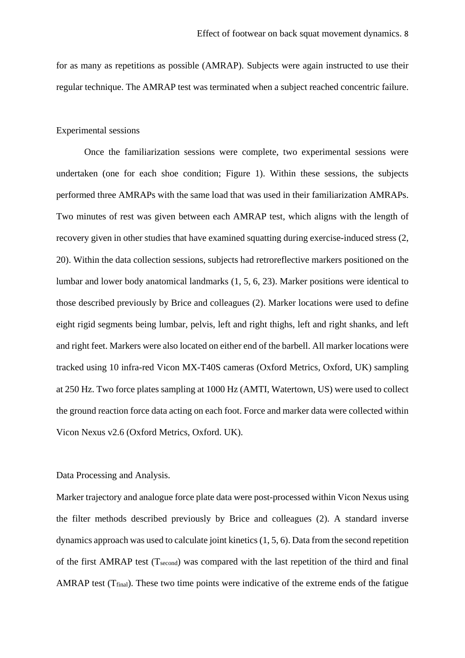for as many as repetitions as possible (AMRAP). Subjects were again instructed to use their regular technique. The AMRAP test was terminated when a subject reached concentric failure.

#### Experimental sessions

Once the familiarization sessions were complete, two experimental sessions were undertaken (one for each shoe condition; Figure 1). Within these sessions, the subjects performed three AMRAPs with the same load that was used in their familiarization AMRAPs. Two minutes of rest was given between each AMRAP test, which aligns with the length of recovery given in other studies that have examined squatting during exercise-induced stress (2, 20). Within the data collection sessions, subjects had retroreflective markers positioned on the lumbar and lower body anatomical landmarks (1, 5, 6, 23). Marker positions were identical to those described previously by Brice and colleagues (2). Marker locations were used to define eight rigid segments being lumbar, pelvis, left and right thighs, left and right shanks, and left and right feet. Markers were also located on either end of the barbell. All marker locations were tracked using 10 infra-red Vicon MX-T40S cameras (Oxford Metrics, Oxford, UK) sampling at 250 Hz. Two force plates sampling at 1000 Hz (AMTI, Watertown, US) were used to collect the ground reaction force data acting on each foot. Force and marker data were collected within Vicon Nexus v2.6 (Oxford Metrics, Oxford. UK).

#### Data Processing and Analysis.

Marker trajectory and analogue force plate data were post-processed within Vicon Nexus using the filter methods described previously by Brice and colleagues (2). A standard inverse dynamics approach was used to calculate joint kinetics (1, 5, 6). Data from the second repetition of the first AMRAP test  $(T_{second})$  was compared with the last repetition of the third and final AMRAP test ( $T_{final}$ ). These two time points were indicative of the extreme ends of the fatigue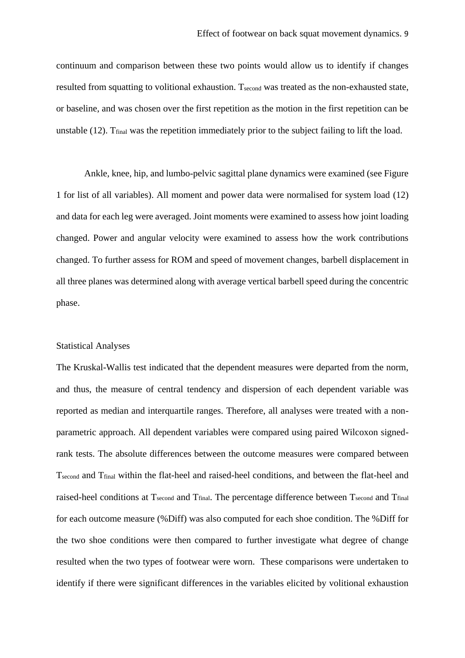continuum and comparison between these two points would allow us to identify if changes resulted from squatting to volitional exhaustion. T<sub>second</sub> was treated as the non-exhausted state, or baseline, and was chosen over the first repetition as the motion in the first repetition can be unstable  $(12)$ . T<sub>final</sub> was the repetition immediately prior to the subject failing to lift the load.

Ankle, knee, hip, and lumbo-pelvic sagittal plane dynamics were examined (see Figure 1 for list of all variables). All moment and power data were normalised for system load (12) and data for each leg were averaged. Joint moments were examined to assess how joint loading changed. Power and angular velocity were examined to assess how the work contributions changed. To further assess for ROM and speed of movement changes, barbell displacement in all three planes was determined along with average vertical barbell speed during the concentric phase.

#### Statistical Analyses

The Kruskal-Wallis test indicated that the dependent measures were departed from the norm, and thus, the measure of central tendency and dispersion of each dependent variable was reported as median and interquartile ranges. Therefore, all analyses were treated with a nonparametric approach. All dependent variables were compared using paired Wilcoxon signedrank tests. The absolute differences between the outcome measures were compared between Tsecond and Tfinal within the flat-heel and raised-heel conditions, and between the flat-heel and raised-heel conditions at Tsecond and Tfinal. The percentage difference between Tsecond and Tfinal for each outcome measure (%Diff) was also computed for each shoe condition. The %Diff for the two shoe conditions were then compared to further investigate what degree of change resulted when the two types of footwear were worn. These comparisons were undertaken to identify if there were significant differences in the variables elicited by volitional exhaustion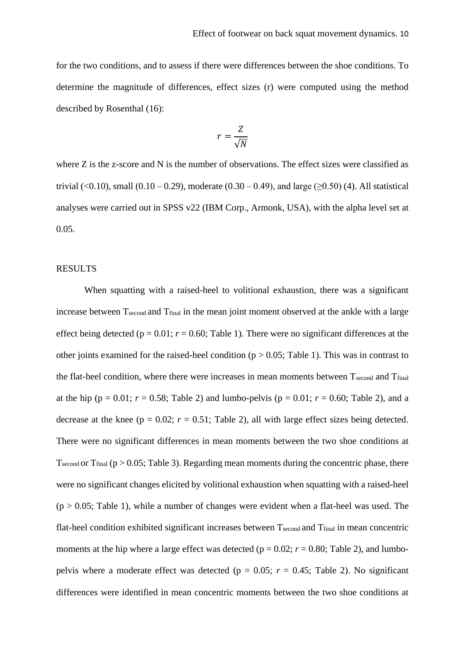for the two conditions, and to assess if there were differences between the shoe conditions. To determine the magnitude of differences, effect sizes (r) were computed using the method described by Rosenthal (16):

$$
r = \frac{Z}{\sqrt{N}}
$$

where Z is the z-score and N is the number of observations. The effect sizes were classified as trivial (<0.10), small (0.10 – 0.29), moderate (0.30 – 0.49), and large ( $>0.50$ ) (4). All statistical analyses were carried out in SPSS v22 (IBM Corp., Armonk, USA), with the alpha level set at 0.05.

#### RESULTS

When squatting with a raised-heel to volitional exhaustion, there was a significant increase between T<sub>second</sub> and T<sub>final</sub> in the mean joint moment observed at the ankle with a large effect being detected ( $p = 0.01$ ;  $r = 0.60$ ; Table 1). There were no significant differences at the other joints examined for the raised-heel condition ( $p > 0.05$ ; Table 1). This was in contrast to the flat-heel condition, where there were increases in mean moments between Tsecond and Tfinal at the hip ( $p = 0.01$ ;  $r = 0.58$ ; Table 2) and lumbo-pelvis ( $p = 0.01$ ;  $r = 0.60$ ; Table 2), and a decrease at the knee ( $p = 0.02$ ;  $r = 0.51$ ; Table 2), all with large effect sizes being detected. There were no significant differences in mean moments between the two shoe conditions at T<sub>second</sub> or T<sub>final</sub> ( $p > 0.05$ ; Table 3). Regarding mean moments during the concentric phase, there were no significant changes elicited by volitional exhaustion when squatting with a raised-heel  $(p > 0.05$ ; Table 1), while a number of changes were evident when a flat-heel was used. The flat-heel condition exhibited significant increases between Tsecond and T<sub>final</sub> in mean concentric moments at the hip where a large effect was detected ( $p = 0.02$ ;  $r = 0.80$ ; Table 2), and lumbopelvis where a moderate effect was detected ( $p = 0.05$ ;  $r = 0.45$ ; Table 2). No significant differences were identified in mean concentric moments between the two shoe conditions at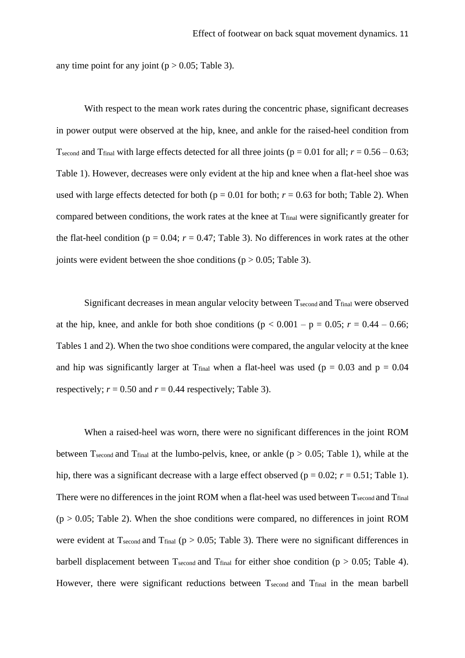any time point for any joint ( $p > 0.05$ ; Table 3).

With respect to the mean work rates during the concentric phase, significant decreases in power output were observed at the hip, knee, and ankle for the raised-heel condition from T<sub>second</sub> and T<sub>final</sub> with large effects detected for all three joints ( $p = 0.01$  for all;  $r = 0.56 - 0.63$ ; Table 1). However, decreases were only evident at the hip and knee when a flat-heel shoe was used with large effects detected for both ( $p = 0.01$  for both;  $r = 0.63$  for both; Table 2). When compared between conditions, the work rates at the knee at Tfinal were significantly greater for the flat-heel condition ( $p = 0.04$ ;  $r = 0.47$ ; Table 3). No differences in work rates at the other joints were evident between the shoe conditions ( $p > 0.05$ ; Table 3).

Significant decreases in mean angular velocity between  $T_{second}$  and  $T_{final}$  were observed at the hip, knee, and ankle for both shoe conditions ( $p < 0.001 - p = 0.05$ ;  $r = 0.44 - 0.66$ ; Tables 1 and 2). When the two shoe conditions were compared, the angular velocity at the knee and hip was significantly larger at T<sub>final</sub> when a flat-heel was used ( $p = 0.03$  and  $p = 0.04$ ) respectively;  $r = 0.50$  and  $r = 0.44$  respectively; Table 3).

When a raised-heel was worn, there were no significant differences in the joint ROM between T<sub>second</sub> and T<sub>final</sub> at the lumbo-pelvis, knee, or ankle ( $p > 0.05$ ; Table 1), while at the hip, there was a significant decrease with a large effect observed ( $p = 0.02$ ;  $r = 0.51$ ; Table 1). There were no differences in the joint ROM when a flat-heel was used between Tsecond and Tfinal  $(p > 0.05$ ; Table 2). When the shoe conditions were compared, no differences in joint ROM were evident at  $T_{second}$  and  $T_{final}$  (p > 0.05; Table 3). There were no significant differences in barbell displacement between  $T_{second}$  and  $T_{final}$  for either shoe condition (p > 0.05; Table 4). However, there were significant reductions between Tsecond and Tfinal in the mean barbell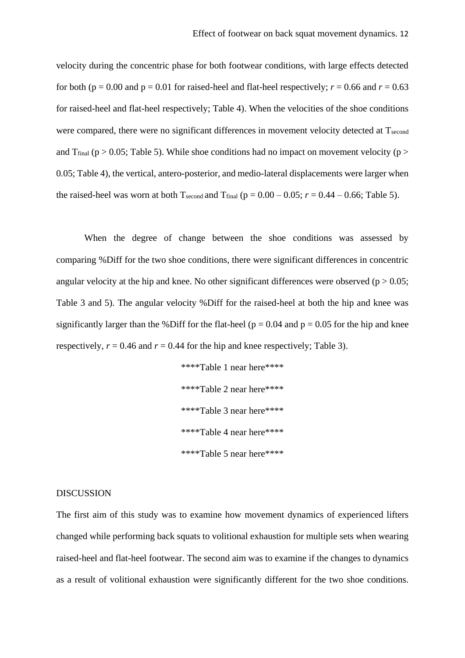velocity during the concentric phase for both footwear conditions, with large effects detected for both ( $p = 0.00$  and  $p = 0.01$  for raised-heel and flat-heel respectively;  $r = 0.66$  and  $r = 0.63$ for raised-heel and flat-heel respectively; Table 4). When the velocities of the shoe conditions were compared, there were no significant differences in movement velocity detected at  $T_{second}$ and T<sub>final</sub> ( $p > 0.05$ ; Table 5). While shoe conditions had no impact on movement velocity ( $p >$ 0.05; Table 4), the vertical, antero-posterior, and medio-lateral displacements were larger when the raised-heel was worn at both Tsecond and T<sub>final</sub> ( $p = 0.00 - 0.05$ ;  $r = 0.44 - 0.66$ ; Table 5).

When the degree of change between the shoe conditions was assessed by comparing %Diff for the two shoe conditions, there were significant differences in concentric angular velocity at the hip and knee. No other significant differences were observed ( $p > 0.05$ ; Table 3 and 5). The angular velocity %Diff for the raised-heel at both the hip and knee was significantly larger than the %Diff for the flat-heel ( $p = 0.04$  and  $p = 0.05$  for the hip and knee respectively,  $r = 0.46$  and  $r = 0.44$  for the hip and knee respectively; Table 3).

> \*\*\*\*Table 1 near here\*\*\*\* \*\*\*\*Table 2 near here\*\*\*\* \*\*\*\*Table 3 near here\*\*\*\* \*\*\*\*Table 4 near here\*\*\*\* \*\*\*\*Table 5 near here\*\*\*\*

#### DISCUSSION

The first aim of this study was to examine how movement dynamics of experienced lifters changed while performing back squats to volitional exhaustion for multiple sets when wearing raised-heel and flat-heel footwear. The second aim was to examine if the changes to dynamics as a result of volitional exhaustion were significantly different for the two shoe conditions.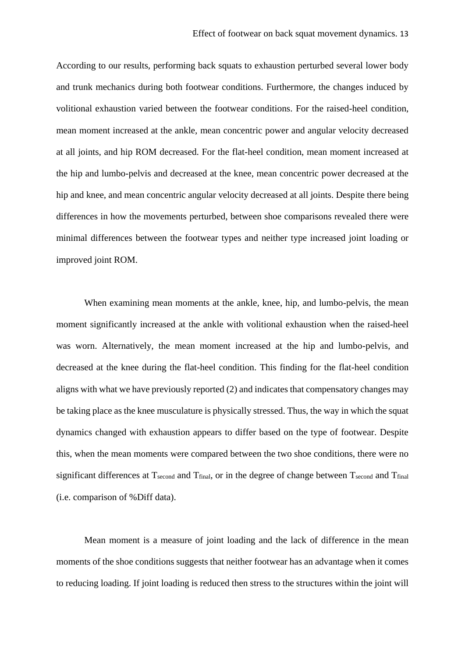According to our results, performing back squats to exhaustion perturbed several lower body and trunk mechanics during both footwear conditions. Furthermore, the changes induced by volitional exhaustion varied between the footwear conditions. For the raised-heel condition, mean moment increased at the ankle, mean concentric power and angular velocity decreased at all joints, and hip ROM decreased. For the flat-heel condition, mean moment increased at the hip and lumbo-pelvis and decreased at the knee, mean concentric power decreased at the hip and knee, and mean concentric angular velocity decreased at all joints. Despite there being differences in how the movements perturbed, between shoe comparisons revealed there were minimal differences between the footwear types and neither type increased joint loading or improved joint ROM.

When examining mean moments at the ankle, knee, hip, and lumbo-pelvis, the mean moment significantly increased at the ankle with volitional exhaustion when the raised-heel was worn. Alternatively, the mean moment increased at the hip and lumbo-pelvis, and decreased at the knee during the flat-heel condition. This finding for the flat-heel condition aligns with what we have previously reported (2) and indicates that compensatory changes may be taking place as the knee musculature is physically stressed. Thus, the way in which the squat dynamics changed with exhaustion appears to differ based on the type of footwear. Despite this, when the mean moments were compared between the two shoe conditions, there were no significant differences at  $T_{second}$  and  $T_{final}$ , or in the degree of change between  $T_{second}$  and  $T_{final}$ (i.e. comparison of %Diff data).

Mean moment is a measure of joint loading and the lack of difference in the mean moments of the shoe conditions suggests that neither footwear has an advantage when it comes to reducing loading. If joint loading is reduced then stress to the structures within the joint will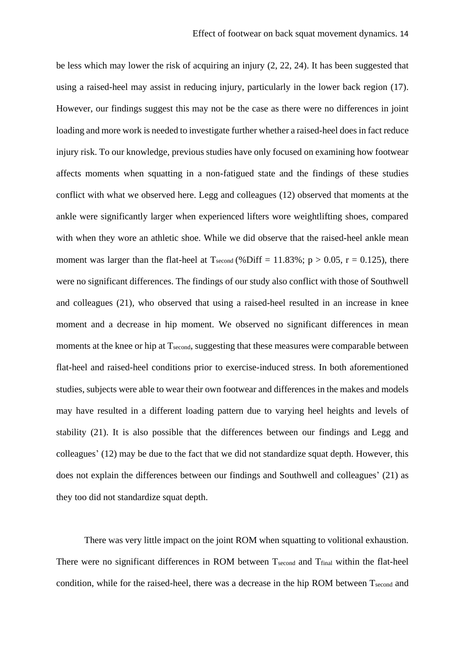be less which may lower the risk of acquiring an injury (2, 22, 24). It has been suggested that using a raised-heel may assist in reducing injury, particularly in the lower back region (17). However, our findings suggest this may not be the case as there were no differences in joint loading and more work is needed to investigate further whether a raised-heel does in fact reduce injury risk. To our knowledge, previous studies have only focused on examining how footwear affects moments when squatting in a non-fatigued state and the findings of these studies conflict with what we observed here. Legg and colleagues (12) observed that moments at the ankle were significantly larger when experienced lifters wore weightlifting shoes, compared with when they wore an athletic shoe. While we did observe that the raised-heel ankle mean moment was larger than the flat-heel at  $T_{second}$  (%Diff = 11.83%; p > 0.05, r = 0.125), there were no significant differences. The findings of our study also conflict with those of Southwell and colleagues (21), who observed that using a raised-heel resulted in an increase in knee moment and a decrease in hip moment. We observed no significant differences in mean moments at the knee or hip at T<sub>second</sub>, suggesting that these measures were comparable between flat-heel and raised-heel conditions prior to exercise-induced stress. In both aforementioned studies, subjects were able to wear their own footwear and differences in the makes and models may have resulted in a different loading pattern due to varying heel heights and levels of stability (21). It is also possible that the differences between our findings and Legg and colleagues' (12) may be due to the fact that we did not standardize squat depth. However, this does not explain the differences between our findings and Southwell and colleagues' (21) as they too did not standardize squat depth.

There was very little impact on the joint ROM when squatting to volitional exhaustion. There were no significant differences in ROM between Tsecond and Tfinal within the flat-heel condition, while for the raised-heel, there was a decrease in the hip ROM between Tsecond and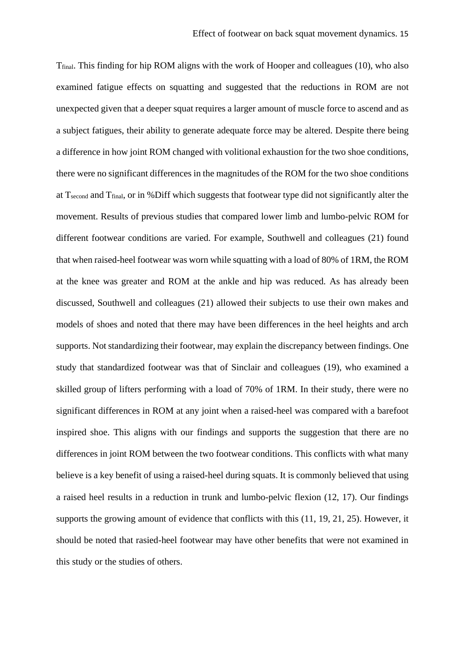Tfinal. This finding for hip ROM aligns with the work of Hooper and colleagues (10), who also examined fatigue effects on squatting and suggested that the reductions in ROM are not unexpected given that a deeper squat requires a larger amount of muscle force to ascend and as a subject fatigues, their ability to generate adequate force may be altered. Despite there being a difference in how joint ROM changed with volitional exhaustion for the two shoe conditions, there were no significant differences in the magnitudes of the ROM for the two shoe conditions at Tsecond and Tfinal, or in %Diff which suggests that footwear type did not significantly alter the movement. Results of previous studies that compared lower limb and lumbo-pelvic ROM for different footwear conditions are varied. For example, Southwell and colleagues (21) found that when raised-heel footwear was worn while squatting with a load of 80% of 1RM, the ROM at the knee was greater and ROM at the ankle and hip was reduced. As has already been discussed, Southwell and colleagues (21) allowed their subjects to use their own makes and models of shoes and noted that there may have been differences in the heel heights and arch supports. Not standardizing their footwear, may explain the discrepancy between findings. One study that standardized footwear was that of Sinclair and colleagues (19), who examined a skilled group of lifters performing with a load of 70% of 1RM. In their study, there were no significant differences in ROM at any joint when a raised-heel was compared with a barefoot inspired shoe. This aligns with our findings and supports the suggestion that there are no differences in joint ROM between the two footwear conditions. This conflicts with what many believe is a key benefit of using a raised-heel during squats. It is commonly believed that using a raised heel results in a reduction in trunk and lumbo-pelvic flexion (12, 17). Our findings supports the growing amount of evidence that conflicts with this (11, 19, 21, 25). However, it should be noted that rasied-heel footwear may have other benefits that were not examined in this study or the studies of others.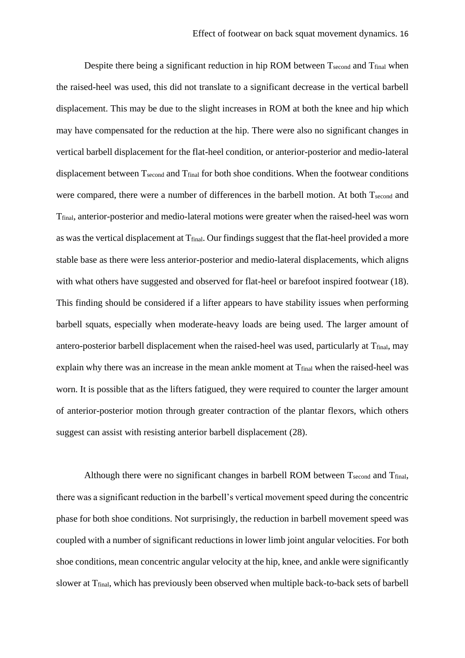Despite there being a significant reduction in hip ROM between Tsecond and Tfinal when the raised-heel was used, this did not translate to a significant decrease in the vertical barbell displacement. This may be due to the slight increases in ROM at both the knee and hip which may have compensated for the reduction at the hip. There were also no significant changes in vertical barbell displacement for the flat-heel condition, or anterior-posterior and medio-lateral displacement between T<sub>second</sub> and T<sub>final</sub> for both shoe conditions. When the footwear conditions were compared, there were a number of differences in the barbell motion. At both Tsecond and Tfinal, anterior-posterior and medio-lateral motions were greater when the raised-heel was worn as was the vertical displacement at T<sub>final</sub>. Our findings suggest that the flat-heel provided a more stable base as there were less anterior-posterior and medio-lateral displacements, which aligns with what others have suggested and observed for flat-heel or barefoot inspired footwear (18). This finding should be considered if a lifter appears to have stability issues when performing barbell squats, especially when moderate-heavy loads are being used. The larger amount of antero-posterior barbell displacement when the raised-heel was used, particularly at T<sub>final</sub>, may explain why there was an increase in the mean ankle moment at  $T_{final}$  when the raised-heel was worn. It is possible that as the lifters fatigued, they were required to counter the larger amount of anterior-posterior motion through greater contraction of the plantar flexors, which others suggest can assist with resisting anterior barbell displacement (28).

Although there were no significant changes in barbell ROM between  $T_{second}$  and  $T_{final}$ , there was a significant reduction in the barbell's vertical movement speed during the concentric phase for both shoe conditions. Not surprisingly, the reduction in barbell movement speed was coupled with a number of significant reductions in lower limb joint angular velocities. For both shoe conditions, mean concentric angular velocity at the hip, knee, and ankle were significantly slower at Tfinal, which has previously been observed when multiple back-to-back sets of barbell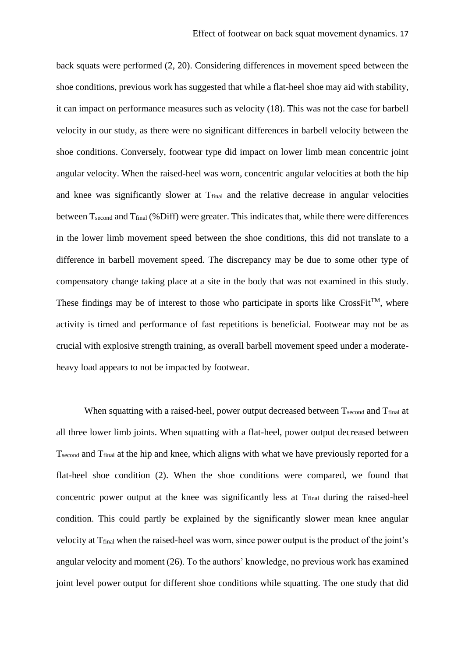back squats were performed (2, 20). Considering differences in movement speed between the shoe conditions, previous work has suggested that while a flat-heel shoe may aid with stability, it can impact on performance measures such as velocity (18). This was not the case for barbell velocity in our study, as there were no significant differences in barbell velocity between the shoe conditions. Conversely, footwear type did impact on lower limb mean concentric joint angular velocity. When the raised-heel was worn, concentric angular velocities at both the hip and knee was significantly slower at T<sub>final</sub> and the relative decrease in angular velocities between T<sub>second</sub> and T<sub>final</sub> (%Diff) were greater. This indicates that, while there were differences in the lower limb movement speed between the shoe conditions, this did not translate to a difference in barbell movement speed. The discrepancy may be due to some other type of compensatory change taking place at a site in the body that was not examined in this study. These findings may be of interest to those who participate in sports like CrossFit<sup>TM</sup>, where activity is timed and performance of fast repetitions is beneficial. Footwear may not be as crucial with explosive strength training, as overall barbell movement speed under a moderateheavy load appears to not be impacted by footwear.

When squatting with a raised-heel, power output decreased between Tsecond and Tfinal at all three lower limb joints. When squatting with a flat-heel, power output decreased between Tsecond and Tfinal at the hip and knee, which aligns with what we have previously reported for a flat-heel shoe condition (2). When the shoe conditions were compared, we found that concentric power output at the knee was significantly less at T<sub>final</sub> during the raised-heel condition. This could partly be explained by the significantly slower mean knee angular velocity at Tfinal when the raised-heel was worn, since power output is the product of the joint's angular velocity and moment (26). To the authors' knowledge, no previous work has examined joint level power output for different shoe conditions while squatting. The one study that did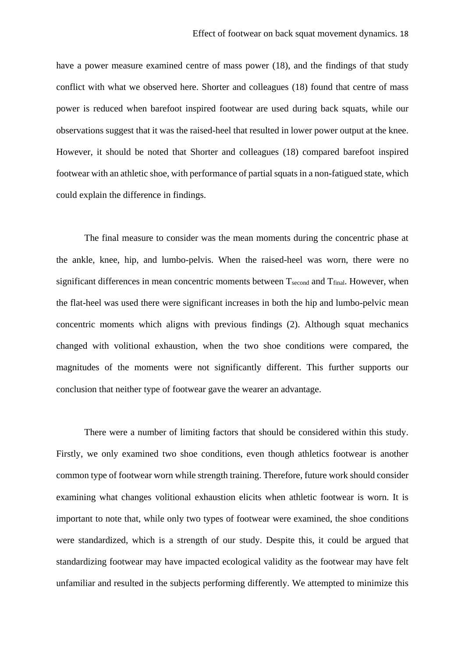have a power measure examined centre of mass power (18), and the findings of that study conflict with what we observed here. Shorter and colleagues (18) found that centre of mass power is reduced when barefoot inspired footwear are used during back squats, while our observations suggest that it was the raised-heel that resulted in lower power output at the knee. However, it should be noted that Shorter and colleagues (18) compared barefoot inspired footwear with an athletic shoe, with performance of partial squats in a non-fatigued state, which could explain the difference in findings.

The final measure to consider was the mean moments during the concentric phase at the ankle, knee, hip, and lumbo-pelvis. When the raised-heel was worn, there were no significant differences in mean concentric moments between T<sub>second</sub> and T<sub>final</sub>. However, when the flat-heel was used there were significant increases in both the hip and lumbo-pelvic mean concentric moments which aligns with previous findings (2). Although squat mechanics changed with volitional exhaustion, when the two shoe conditions were compared, the magnitudes of the moments were not significantly different. This further supports our conclusion that neither type of footwear gave the wearer an advantage.

There were a number of limiting factors that should be considered within this study. Firstly, we only examined two shoe conditions, even though athletics footwear is another common type of footwear worn while strength training. Therefore, future work should consider examining what changes volitional exhaustion elicits when athletic footwear is worn. It is important to note that, while only two types of footwear were examined, the shoe conditions were standardized, which is a strength of our study. Despite this, it could be argued that standardizing footwear may have impacted ecological validity as the footwear may have felt unfamiliar and resulted in the subjects performing differently. We attempted to minimize this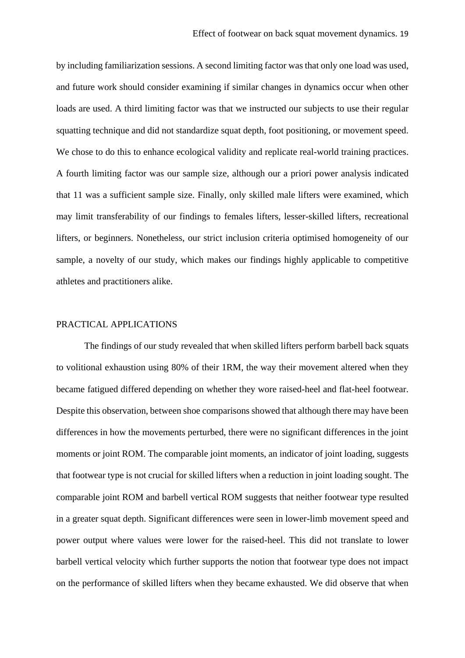by including familiarization sessions. A second limiting factor was that only one load was used, and future work should consider examining if similar changes in dynamics occur when other loads are used. A third limiting factor was that we instructed our subjects to use their regular squatting technique and did not standardize squat depth, foot positioning, or movement speed. We chose to do this to enhance ecological validity and replicate real-world training practices. A fourth limiting factor was our sample size, although our a priori power analysis indicated that 11 was a sufficient sample size. Finally, only skilled male lifters were examined, which may limit transferability of our findings to females lifters, lesser-skilled lifters, recreational lifters, or beginners. Nonetheless, our strict inclusion criteria optimised homogeneity of our sample, a novelty of our study, which makes our findings highly applicable to competitive athletes and practitioners alike.

### PRACTICAL APPLICATIONS

The findings of our study revealed that when skilled lifters perform barbell back squats to volitional exhaustion using 80% of their 1RM, the way their movement altered when they became fatigued differed depending on whether they wore raised-heel and flat-heel footwear. Despite this observation, between shoe comparisons showed that although there may have been differences in how the movements perturbed, there were no significant differences in the joint moments or joint ROM. The comparable joint moments, an indicator of joint loading, suggests that footwear type is not crucial for skilled lifters when a reduction in joint loading sought. The comparable joint ROM and barbell vertical ROM suggests that neither footwear type resulted in a greater squat depth. Significant differences were seen in lower-limb movement speed and power output where values were lower for the raised-heel. This did not translate to lower barbell vertical velocity which further supports the notion that footwear type does not impact on the performance of skilled lifters when they became exhausted. We did observe that when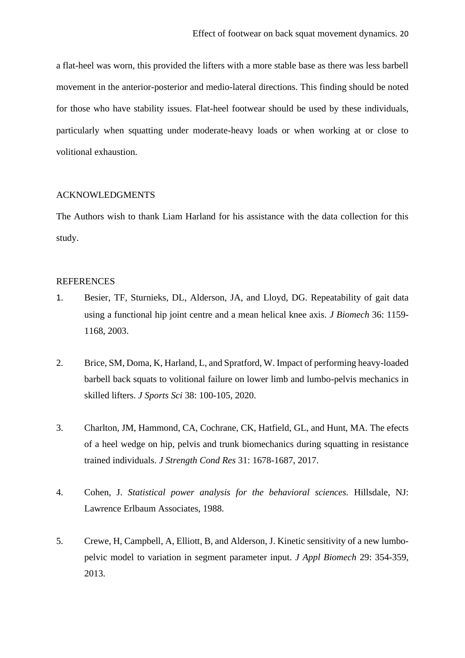a flat-heel was worn, this provided the lifters with a more stable base as there was less barbell movement in the anterior-posterior and medio-lateral directions. This finding should be noted for those who have stability issues. Flat-heel footwear should be used by these individuals, particularly when squatting under moderate-heavy loads or when working at or close to volitional exhaustion.

#### ACKNOWLEDGMENTS

The Authors wish to thank Liam Harland for his assistance with the data collection for this study.

#### REFERENCES

- 1. Besier, TF, Sturnieks, DL, Alderson, JA, and Lloyd, DG. Repeatability of gait data using a functional hip joint centre and a mean helical knee axis. *J Biomech* 36: 1159- 1168, 2003.
- 2. Brice, SM, Doma, K, Harland, L, and Spratford, W. Impact of performing heavy-loaded barbell back squats to volitional failure on lower limb and lumbo-pelvis mechanics in skilled lifters. *J Sports Sci* 38: 100-105, 2020.
- 3. Charlton, JM, Hammond, CA, Cochrane, CK, Hatfield, GL, and Hunt, MA. The efects of a heel wedge on hip, pelvis and trunk biomechanics during squatting in resistance trained individuals. *J Strength Cond Res* 31: 1678-1687, 2017.
- 4. Cohen, J. *Statistical power analysis for the behavioral sciences.* Hillsdale, NJ: Lawrence Erlbaum Associates, 1988.
- 5. Crewe, H, Campbell, A, Elliott, B, and Alderson, J. Kinetic sensitivity of a new lumbopelvic model to variation in segment parameter input. *J Appl Biomech* 29: 354-359, 2013.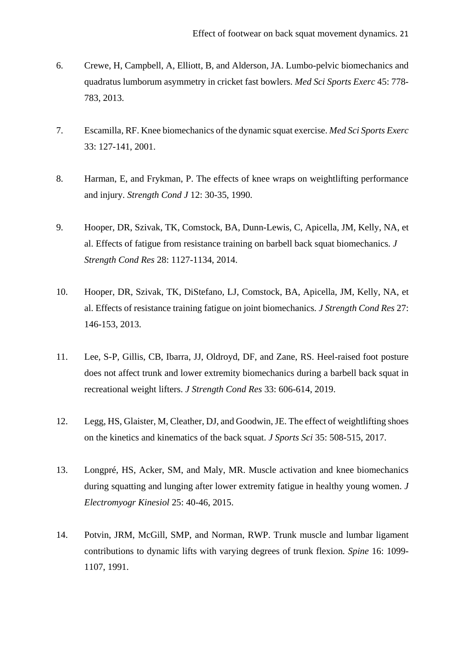- 6. Crewe, H, Campbell, A, Elliott, B, and Alderson, JA. Lumbo-pelvic biomechanics and quadratus lumborum asymmetry in cricket fast bowlers. *Med Sci Sports Exerc* 45: 778- 783, 2013.
- 7. Escamilla, RF. Knee biomechanics of the dynamic squat exercise. *Med Sci Sports Exerc* 33: 127-141, 2001.
- 8. Harman, E, and Frykman, P. The effects of knee wraps on weightlifting performance and injury. *Strength Cond J* 12: 30-35, 1990.
- 9. Hooper, DR, Szivak, TK, Comstock, BA, Dunn-Lewis, C, Apicella, JM, Kelly, NA, et al. Effects of fatigue from resistance training on barbell back squat biomechanics*. J Strength Cond Res* 28: 1127-1134, 2014.
- 10. Hooper, DR, Szivak, TK, DiStefano, LJ, Comstock, BA, Apicella, JM, Kelly, NA, et al. Effects of resistance training fatigue on joint biomechanics*. J Strength Cond Res* 27: 146-153, 2013.
- 11. Lee, S-P, Gillis, CB, Ibarra, JJ, Oldroyd, DF, and Zane, RS. Heel-raised foot posture does not affect trunk and lower extremity biomechanics during a barbell back squat in recreational weight lifters. *J Strength Cond Res* 33: 606-614, 2019.
- 12. Legg, HS, Glaister, M, Cleather, DJ, and Goodwin, JE. The effect of weightlifting shoes on the kinetics and kinematics of the back squat. *J Sports Sci* 35: 508-515, 2017.
- 13. Longpré, HS, Acker, SM, and Maly, MR. Muscle activation and knee biomechanics during squatting and lunging after lower extremity fatigue in healthy young women. *J Electromyogr Kinesiol* 25: 40-46, 2015.
- 14. Potvin, JRM, McGill, SMP, and Norman, RWP. Trunk muscle and lumbar ligament contributions to dynamic lifts with varying degrees of trunk flexion*. Spine* 16: 1099- 1107, 1991.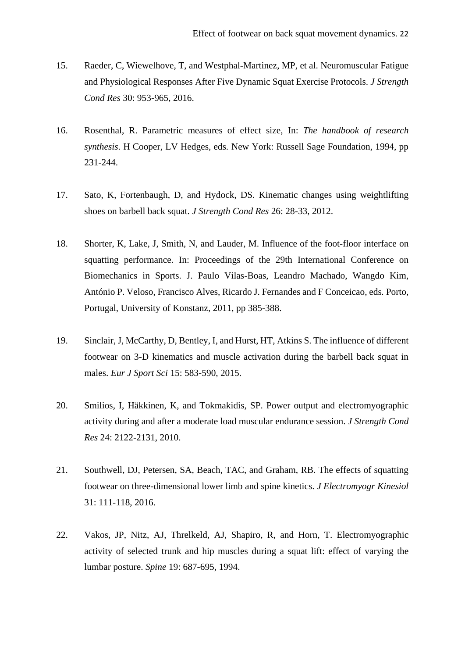- 15. Raeder, C, Wiewelhove, T, and Westphal-Martinez, MP, et al. Neuromuscular Fatigue and Physiological Responses After Five Dynamic Squat Exercise Protocols. *J Strength Cond Res* 30: 953-965, 2016.
- 16. Rosenthal, R. Parametric measures of effect size, In: *The handbook of research synthesis*. H Cooper, LV Hedges, eds*.* New York: Russell Sage Foundation, 1994, pp 231-244.
- 17. Sato, K, Fortenbaugh, D, and Hydock, DS. Kinematic changes using weightlifting shoes on barbell back squat. *J Strength Cond Res* 26: 28-33, 2012.
- 18. Shorter, K, Lake, J, Smith, N, and Lauder, M. Influence of the foot-floor interface on squatting performance. In: Proceedings of the 29th International Conference on Biomechanics in Sports. J. Paulo Vilas-Boas, Leandro Machado, Wangdo Kim, António P. Veloso, Francisco Alves, Ricardo J. Fernandes and F Conceicao, eds*.* Porto, Portugal, University of Konstanz, 2011, pp 385-388.
- 19. Sinclair, J, McCarthy, D, Bentley, I, and Hurst, HT, Atkins S. The influence of different footwear on 3-D kinematics and muscle activation during the barbell back squat in males. *Eur J Sport Sci* 15: 583-590, 2015.
- 20. Smilios, I, Häkkinen, K, and Tokmakidis, SP. Power output and electromyographic activity during and after a moderate load muscular endurance session. *J Strength Cond Res* 24: 2122-2131, 2010.
- 21. Southwell, DJ, Petersen, SA, Beach, TAC, and Graham, RB. The effects of squatting footwear on three-dimensional lower limb and spine kinetics. *J Electromyogr Kinesiol* 31: 111-118, 2016.
- 22. Vakos, JP, Nitz, AJ, Threlkeld, AJ, Shapiro, R, and Horn, T. Electromyographic activity of selected trunk and hip muscles during a squat lift: effect of varying the lumbar posture. *Spine* 19: 687-695, 1994.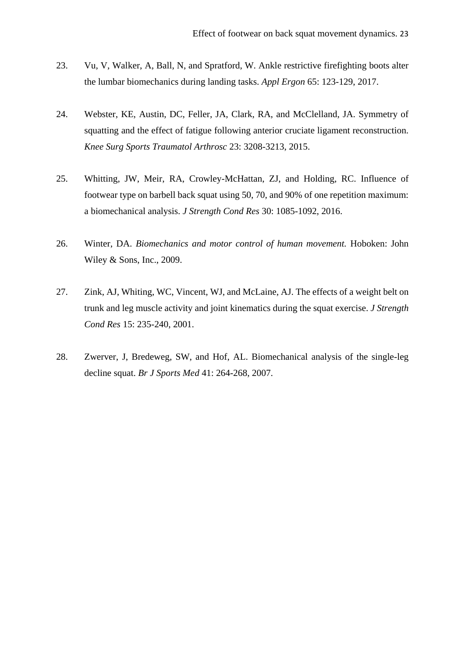- 23. Vu, V, Walker, A, Ball, N, and Spratford, W. Ankle restrictive firefighting boots alter the lumbar biomechanics during landing tasks. *Appl Ergon* 65: 123-129, 2017.
- 24. Webster, KE, Austin, DC, Feller, JA, Clark, RA, and McClelland, JA. Symmetry of squatting and the effect of fatigue following anterior cruciate ligament reconstruction. *Knee Surg Sports Traumatol Arthrosc* 23: 3208-3213, 2015.
- 25. Whitting, JW, Meir, RA, Crowley-McHattan, ZJ, and Holding, RC. Influence of footwear type on barbell back squat using 50, 70, and 90% of one repetition maximum: a biomechanical analysis. *J Strength Cond Res* 30: 1085-1092, 2016.
- 26. Winter, DA. *Biomechanics and motor control of human movement.* Hoboken: John Wiley & Sons, Inc., 2009.
- 27. Zink, AJ, Whiting, WC, Vincent, WJ, and McLaine, AJ. The effects of a weight belt on trunk and leg muscle activity and joint kinematics during the squat exercise. *J Strength Cond Res* 15: 235-240, 2001.
- 28. Zwerver, J, Bredeweg, SW, and Hof, AL. Biomechanical analysis of the single-leg decline squat. *Br J Sports Med* 41: 264-268, 2007.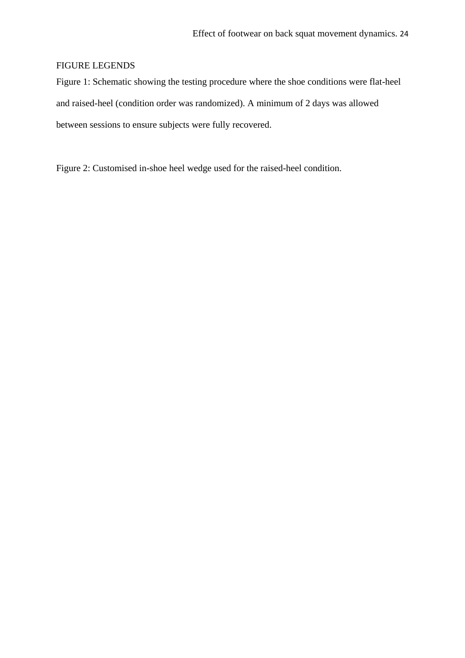# FIGURE LEGENDS

Figure 1: Schematic showing the testing procedure where the shoe conditions were flat-heel and raised-heel (condition order was randomized). A minimum of 2 days was allowed between sessions to ensure subjects were fully recovered.

Figure 2: Customised in-shoe heel wedge used for the raised-heel condition.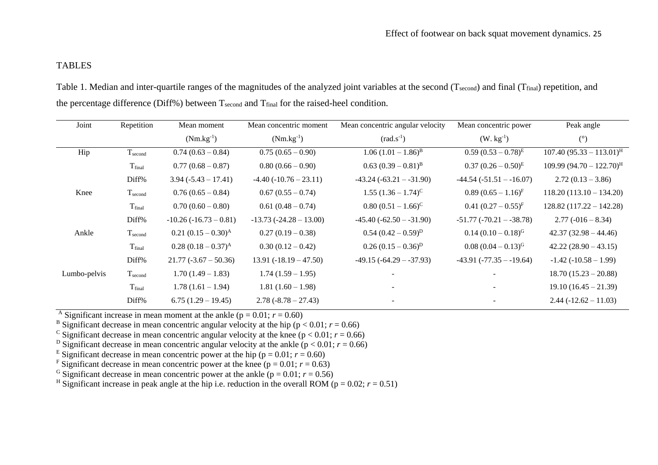# TABLES

Table 1. Median and inter-quartile ranges of the magnitudes of the analyzed joint variables at the second (Tsecond) and final (Tfinal) repetition, and the percentage difference (Diff%) between  $T_{second}$  and  $T_{final}$  for the raised-heel condition.

| Joint        | Repetition         | Mean moment             | Mean concentric moment   | Mean concentric angular velocity | Mean concentric power        | Peak angle                    |
|--------------|--------------------|-------------------------|--------------------------|----------------------------------|------------------------------|-------------------------------|
|              |                    | $(Nm.kg^{-1})$          | $(Nm.kg^{-1})$           | $(rad.s-1)$                      | $(W. kg-1)$                  | (°)                           |
| Hip          | $T_{second}$       | $0.74(0.63-0.84)$       | $0.75(0.65-0.90)$        | $1.06 (1.01 - 1.86)^{B}$         | $0.59(0.53-0.78)^{E}$        | $107.40(95.33 - 113.01)^{H}$  |
|              | T <sub>final</sub> | $0.77(0.68-0.87)$       | $0.80(0.66 - 0.90)$      | $0.63 (0.39 - 0.81)^B$           | $0.37 (0.26 - 0.50)^{E}$     | $109.99 (94.70 - 122.70)^{H}$ |
|              | Diff%              | $3.94 (-5.43 - 17.41)$  | $-4.40(-10.76-23.11)$    | $-43.24$ $(-63.21 - -31.90)$     | $-44.54$ $(-51.51 - -16.07)$ | $2.72(0.13 - 3.86)$           |
| Knee         | $T_{second}$       | $0.76(0.65-0.84)$       | $0.67(0.55-0.74)$        | $1.55 (1.36 - 1.74)^{C}$         | $0.89(0.65-1.16)^{F}$        | $118.20(113.10 - 134.20)$     |
|              | T <sub>final</sub> | $0.70(0.60 - 0.80)$     | $0.61(0.48-0.74)$        | $0.80(0.51-1.66)^{C}$            | $0.41 (0.27 - 0.55)^{F}$     | $128.82(117.22 - 142.28)$     |
|              | Diff%              | $-10.26(-16.73-0.81)$   | $-13.73(-24.28-13.00)$   | $-45.40(-62.50 - -31.90)$        | $-51.77$ $(-70.21 - -38.78)$ | $2.77(-016-8.34)$             |
| Ankle        | $T_{second}$       | $0.21 (0.15 - 0.30)^A$  | $0.27(0.19-0.38)$        | $0.54 (0.42 - 0.59)^D$           | $0.14 (0.10 - 0.18)^{G}$     | $42.37(32.98 - 44.46)$        |
|              | T <sub>final</sub> | $0.28(0.18-0.37)^{A}$   | $0.30(0.12-0.42)$        | $0.26 (0.15 - 0.36)^D$           | $0.08 (0.04 - 0.13)^{G}$     | $42.22(28.90-43.15)$          |
|              | Diff%              | $21.77 (-3.67 - 50.36)$ | $13.91 (-18.19 - 47.50)$ | $-49.15(-64.29 - -37.93)$        | $-43.91 (-77.35 - 19.64)$    | $-1.42(-10.58 - 1.99)$        |
| Lumbo-pelvis | $T_{second}$       | $1.70(1.49 - 1.83)$     | $1.74(1.59-1.95)$        |                                  |                              | $18.70(15.23 - 20.88)$        |
|              | T <sub>final</sub> | $1.78(1.61 - 1.94)$     | $1.81(1.60-1.98)$        |                                  |                              | $19.10(16.45 - 21.39)$        |
|              | Diff%              | $6.75(1.29-19.45)$      | $2.78(-8.78-27.43)$      |                                  |                              | $2.44 (-12.62 - 11.03)$       |

<sup>A</sup> Significant increase in mean moment at the ankle ( $p = 0.01$ ;  $r = 0.60$ )

<sup>B</sup> Significant decrease in mean concentric angular velocity at the hip ( $p < 0.01$ ;  $r = 0.66$ )

<sup>C</sup> Significant decrease in mean concentric angular velocity at the knee ( $p < 0.01$ ;  $r = 0.66$ )

<sup>D</sup> Significant decrease in mean concentric angular velocity at the ankle  $(p < 0.01; r = 0.66)$ 

<sup>E</sup> Significant decrease in mean concentric power at the hip ( $p = 0.01$ ;  $r = 0.60$ )

<sup>F</sup> Significant decrease in mean concentric power at the knee ( $p = 0.01$ ;  $r = 0.63$ )

<sup>G</sup> Significant decrease in mean concentric power at the ankle ( $p = 0.01$ ;  $r = 0.56$ )

<sup>H</sup> Significant increase in peak angle at the hip i.e. reduction in the overall ROM ( $p = 0.02$ ;  $r = 0.51$ )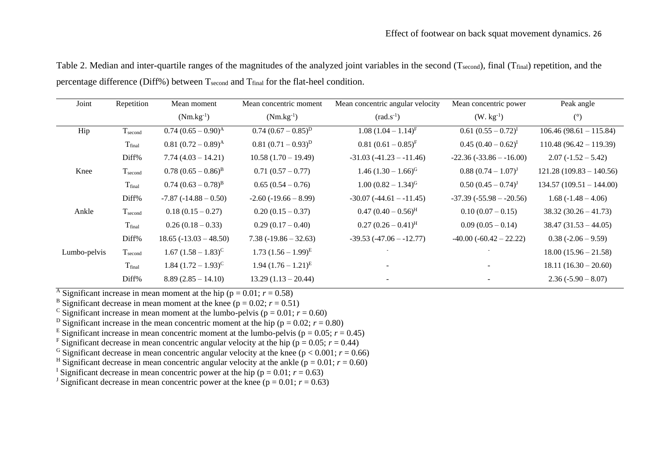| Joint        | Repetition          | Mean moment                     | Mean concentric moment      | Mean concentric angular velocity | Mean concentric power     | Peak angle                |
|--------------|---------------------|---------------------------------|-----------------------------|----------------------------------|---------------------------|---------------------------|
|              |                     | $(Nm.kg^{-1})$                  | $(Nm.kg^{-1})$              | $(rad.s-1)$                      | $(W. kg-1)$               | $^{\circ}$                |
| Hip          | $T_{second}$        | $0.74 (0.65 - 0.90)^{\text{A}}$ | $0.74~(0.67-0.85)^{D}$      | $1.08 (1.04 - 1.14)^{F}$         | $0.61 (0.55 - 0.72)^{I}$  | $106.46(98.61 - 115.84)$  |
|              | T <sub>final</sub>  | $0.81 (0.72 - 0.89)^{\text{A}}$ | $0.81(0.71-0.93)^D$         | $0.81 (0.61 - 0.85)^{F}$         | $0.45 (0.40 - 0.62)^{I}$  | $110.48(96.42 - 119.39)$  |
|              | Diff%               | $7.74(4.03 - 14.21)$            | $10.58(1.70 - 19.49)$       | $-31.03(-41.23 - 11.46)$         | $-22.36(-33.86 - -16.00)$ | $2.07(-1.52 - 5.42)$      |
| Knee         | $T_{\text{second}}$ | $0.78~(0.65-0.86)^{B}$          | $0.71(0.57-0.77)$           | $1.46 (1.30 - 1.66)^{G}$         | $0.88~(0.74-1.07)^{J}$    | $121.28(109.83 - 140.56)$ |
|              | T <sub>final</sub>  | $0.74~(0.63-0.78)^{B}$          | $0.65(0.54-0.76)$           | $1.00 (0.82 - 1.34)^{G}$         | $0.50 (0.45 - 0.74)^{J}$  | $134.57(109.51 - 144.00)$ |
|              | Diff%               | $-7.87(-14.88 - 0.50)$          | $-2.60$ ( $-19.66 - 8.99$ ) | $-30.07(-44.61 - -11.45)$        | $-37.39(-55.98 - -20.56)$ | $1.68(-1.48-4.06)$        |
| Ankle        | $T_{second}$        | $0.18(0.15-0.27)$               | $0.20(0.15-0.37)$           | $0.47 (0.40 - 0.56)^{H}$         | $0.10(0.07-0.15)$         | $38.32(30.26 - 41.73)$    |
|              | T <sub>final</sub>  | $0.26(0.18-0.33)$               | $0.29(0.17-0.40)$           | $0.27(0.26-0.41)^{H}$            | $0.09(0.05-0.14)$         | $38.47(31.53 - 44.05)$    |
|              | Diff%               | $18.65 (-13.03 - 48.50)$        | $7.38(-19.86 - 32.63)$      | $-39.53$ $(-47.06 - 12.77)$      | $-40.00(-60.42 - 22.22)$  | $0.38(-2.06-9.59)$        |
| Lumbo-pelvis | $T_{second}$        | $1.67 (1.58 - 1.83)^{C}$        | $1.73 (1.56 - 1.99)^{E}$    |                                  |                           | $18.00(15.96 - 21.58)$    |
|              | T <sub>final</sub>  | $1.84 (1.72 - 1.93)^{C}$        | $1.94 (1.76 - 1.21)^{E}$    |                                  |                           | $18.11(16.30-20.60)$      |
|              | Diff%               | $8.89(2.85 - 14.10)$            | $13.29(1.13 - 20.44)$       |                                  |                           | $2.36(-5.90-8.07)$        |

Table 2. Median and inter-quartile ranges of the magnitudes of the analyzed joint variables in the second (Tsecond), final (T<sub>final</sub>) repetition, and the percentage difference (Diff%) between Tsecond and Tfinal for the flat-heel condition.

<sup>A</sup> Significant increase in mean moment at the hip ( $p = 0.01$ ;  $r = 0.58$ )

<sup>B</sup> Significant decrease in mean moment at the knee ( $p = 0.02$ ;  $r = 0.51$ )

<sup>C</sup> Significant increase in mean moment at the lumbo-pelvis ( $p = 0.01$ ;  $r = 0.60$ )

<sup>D</sup> Significant increase in the mean concentric moment at the hip ( $p = 0.02$ ;  $r = 0.80$ )

<sup>E</sup> Significant increase in mean concentric moment at the lumbo-pelvis ( $p = 0.05$ ;  $r = 0.45$ )

<sup>F</sup> Significant decrease in mean concentric angular velocity at the hip ( $p = 0.05$ ;  $r = 0.44$ )

<sup>G</sup> Significant decrease in mean concentric angular velocity at the knee ( $p < 0.001$ ;  $r = 0.66$ )

<sup>H</sup> Significant decrease in mean concentric angular velocity at the ankle ( $p = 0.01$ ;  $r = 0.60$ )

<sup>I</sup> Significant decrease in mean concentric power at the hip ( $p = 0.01$ ;  $r = 0.63$ )

<sup>J</sup> Significant decrease in mean concentric power at the knee ( $p = 0.01$ ;  $r = 0.63$ )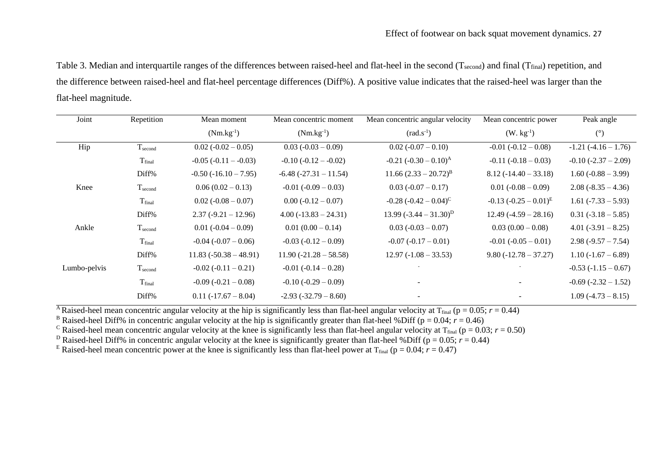Table 3. Median and interquartile ranges of the differences between raised-heel and flat-heel in the second (Tsecond) and final (T<sub>final</sub>) repetition, and the difference between raised-heel and flat-heel percentage differences (Diff%). A positive value indicates that the raised-heel was larger than the flat-heel magnitude.

| Joint        | Repetition         | Mean moment                 | Mean concentric moment     | Mean concentric angular velocity | Mean concentric power      | Peak angle               |
|--------------|--------------------|-----------------------------|----------------------------|----------------------------------|----------------------------|--------------------------|
|              |                    | $(Nm.kg^{-1})$              | $(Nm.kg^{-1})$             | $\text{(rad.s}^{-1}\text{)}$     | $(W. kg-1)$                | $(^\circ)$               |
| Hip          | $T_{second}$       | $0.02 (-0.02 - 0.05)$       | $0.03 (-0.03 - 0.09)$      | $0.02 (-0.07 - 0.10)$            | $-0.01 (-0.12 - 0.08)$     | $-1.21(-4.16-1.76)$      |
|              | T <sub>final</sub> | $-0.05$ ( $-0.11 - -0.03$ ) | $-0.10$ $(-0.12 - -0.02)$  | $-0.21$ $(-0.30 - 0.10)^{A}$     | $-0.11(-0.18-0.03)$        | $-0.10$ $(-2.37 - 2.09)$ |
|              | Diff%              | $-0.50$ ( $-16.10 - 7.95$ ) | $-6.48$ $(-27.31 - 11.54)$ | $11.66 (2.33 - 20.72)^{B}$       | $8.12(-14.40 - 33.18)$     | $1.60(-0.88 - 3.99)$     |
| Knee         | $T_{second}$       | $0.06(0.02-0.13)$           | $-0.01 (-0.09 - 0.03)$     | $0.03(-0.07-0.17)$               | $0.01 (-0.08 - 0.09)$      | $2.08(-8.35-4.36)$       |
|              | T <sub>final</sub> | $0.02 (-0.08 - 0.07)$       | $0.00 (-0.12 - 0.07)$      | $-0.28$ $(-0.42 - 0.04)^{C}$     | $-0.13$ $(-0.25-0.01)^{E}$ | $1.61 (-7.33 - 5.93)$    |
|              | Diff%              | $2.37(-9.21-12.96)$         | $4.00(-13.83 - 24.31)$     | 13.99 $(-3.44 - 31.30)^D$        | $12.49(-4.59 - 28.16)$     | $0.31(-3.18-5.85)$       |
| Ankle        | $T_{second}$       | $0.01 (-0.04 - 0.09)$       | $0.01(0.00-0.14)$          | $0.03(-0.03-0.07)$               | $0.03(0.00-0.08)$          | 4.01 $(-3.91 - 8.25)$    |
|              | T <sub>final</sub> | $-0.04$ ( $-0.07 - 0.06$ )  | $-0.03(-0.12-0.09)$        | $-0.07$ $(-0.17 - 0.01)$         | $-0.01 (-0.05 - 0.01)$     | $2.98(-9.57 - 7.54)$     |
|              | Diff%              | $11.83 (-50.38 - 48.91)$    | $11.90 (-21.28 - 58.58)$   | $12.97(-1.08 - 33.53)$           | $9.80(-12.78 - 37.27)$     | $1.10(-1.67 - 6.89)$     |
| Lumbo-pelvis | $T_{second}$       | $-0.02$ ( $-0.11 - 0.21$ )  | $-0.01$ $(-0.14 - 0.28)$   |                                  |                            | $-0.53(-1.15-0.67)$      |
|              | T <sub>final</sub> | $-0.09(-0.21-0.08)$         | $-0.10(-0.29 - 0.09)$      |                                  |                            | $-0.69$ $(-2.32 - 1.52)$ |
|              | Diff%              | $0.11(-17.67 - 8.04)$       | $-2.93 (-32.79 - 8.60)$    |                                  |                            | $1.09(-4.73-8.15)$       |

<sup>A</sup>Raised-heel mean concentric angular velocity at the hip is significantly less than flat-heel angular velocity at  $T_{final}$  ( $p = 0.05$ ;  $r = 0.44$ )

<sup>B</sup> Raised-heel Diff% in concentric angular velocity at the hip is significantly greater than flat-heel %Diff ( $p = 0.04$ ;  $r = 0.46$ )

<sup>C</sup> Raised-heel mean concentric angular velocity at the knee is significantly less than flat-heel angular velocity at  $T_{final}$  ( $p = 0.03$ ;  $r = 0.50$ )

<sup>D</sup> Raised-heel Diff% in concentric angular velocity at the knee is significantly greater than flat-heel %Diff ( $p = 0.05$ ;  $r = 0.44$ )

<sup>E</sup> Raised-heel mean concentric power at the knee is significantly less than flat-heel power at T<sub>final</sub> (p = 0.04;  $r = 0.47$ )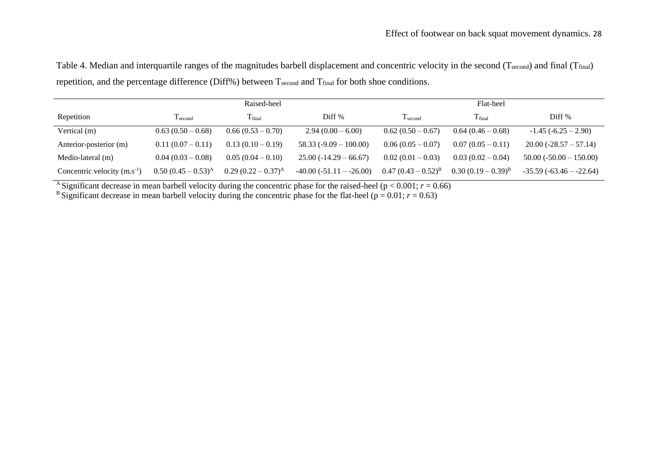Table 4. Median and interquartile ranges of the magnitudes barbell displacement and concentric velocity in the second (Tsecond) and final (Tfinal) repetition, and the percentage difference (Diff%) between Tsecond and Tfinal for both shoe conditions.

|                                  | Raised-heel              |                       |                           | Flat-heel                |                         |                           |
|----------------------------------|--------------------------|-----------------------|---------------------------|--------------------------|-------------------------|---------------------------|
| Repetition                       | $T_{second}$             | T <sub>final</sub>    | Diff <sup>%</sup>         | $T_{second}$             | T <sub>final</sub>      | Diff <sup>%</sup>         |
| Vertical (m)                     | $0.63(0.50-0.68)$        | $0.66(0.53-0.70)$     | $2.94(0.00 - 6.00)$       | $0.62(0.50-0.67)$        | $0.64(0.46-0.68)$       | $-1.45(-6.25-2.90)$       |
| Anterior-posterior (m)           | $0.11(0.07-0.11)$        | $0.13(0.10-0.19)$     | $58.33(-9.09-100.00)$     | $0.06(0.05-0.07)$        | $0.07(0.05-0.11)$       | $20.00(-28.57-57.14)$     |
| Medio-lateral (m)                | $0.04(0.03-0.08)$        | $0.05(0.04-0.10)$     | $25.00(-14.29 - 66.67)$   | $0.02(0.01-0.03)$        | $0.03(0.02-0.04)$       | $50.00 (-50.00 - 150.00)$ |
| Concentric velocity $(m.s^{-1})$ | $0.50 (0.45 - 0.53)^{A}$ | $0.29(0.22-0.37)^{A}$ | $-40.00(-51.11 - -26.00)$ | $0.47 (0.43 - 0.52)^{B}$ | $(0.30(0.19-0.39)^{B})$ | $-35.59(-63.46 - 22.64)$  |

A Significant decrease in mean barbell velocity during the concentric phase for the raised-heel ( $p < 0.001$ ;  $r = 0.66$ )

<sup>B</sup> Significant decrease in mean barbell velocity during the concentric phase for the flat-heel ( $p = 0.01$ ;  $r = 0.63$ )